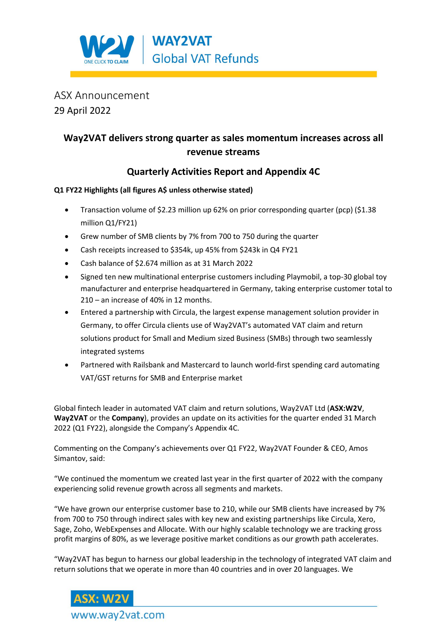

## ASX Announcement 29 April 2022

## **Way2VAT delivers strong quarter as sales momentum increases across all revenue streams**

### **Quarterly Activities Report and Appendix 4C**

### **Q1 FY22 Highlights (all figures A\$ unless otherwise stated)**

- Transaction volume of \$2.23 million up 62% on prior corresponding quarter (pcp) (\$1.38 million Q1/FY21)
- Grew number of SMB clients by 7% from 700 to 750 during the quarter
- Cash receipts increased to \$354k, up 45% from \$243k in Q4 FY21
- Cash balance of \$2.674 million as at 31 March 2022
- Signed ten new multinational enterprise customers including Playmobil, a top-30 global toy manufacturer and enterprise headquartered in Germany, taking enterprise customer total to 210 – an increase of 40% in 12 months.
- Entered a partnership with Circula, the largest expense management solution provider in Germany, to offer Circula clients use of Way2VAT's automated VAT claim and return solutions product for Small and Medium sized Business (SMBs) through two seamlessly integrated systems
- Partnered with Railsbank and Mastercard to launch world-first spending card automating VAT/GST returns for SMB and Enterprise market

Global fintech leader in automated VAT claim and return solutions, Way2VAT Ltd (**ASX:W2V**, **Way2VAT** or the **Company**), provides an update on its activities for the quarter ended 31 March 2022 (Q1 FY22), alongside the Company's Appendix 4C.

Commenting on the Company's achievements over Q1 FY22, Way2VAT Founder & CEO, Amos Simantov, said:

"We continued the momentum we created last year in the first quarter of 2022 with the company experiencing solid revenue growth across all segments and markets.

"We have grown our enterprise customer base to 210, while our SMB clients have increased by 7% from 700 to 750 through indirect sales with key new and existing partnerships like Circula, Xero, Sage, Zoho, WebExpenses and Allocate. With our highly scalable technology we are tracking gross profit margins of 80%, as we leverage positive market conditions as our growth path accelerates.

"Way2VAT has begun to harness our global leadership in the technology of integrated VAT claim and return solutions that we operate in more than 40 countries and in over 20 languages. We

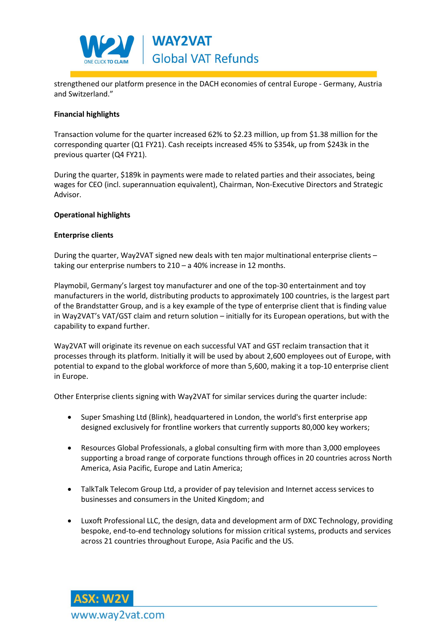

strengthened our platform presence in the DACH economies of central Europe - Germany, Austria and Switzerland."

#### **Financial highlights**

Transaction volume for the quarter increased 62% to \$2.23 million, up from \$1.38 million for the corresponding quarter (Q1 FY21). Cash receipts increased 45% to \$354k, up from \$243k in the previous quarter (Q4 FY21).

During the quarter, \$189k in payments were made to related parties and their associates, being wages for CEO (incl. superannuation equivalent), Chairman, Non-Executive Directors and Strategic Advisor.

#### **Operational highlights**

#### **Enterprise clients**

During the quarter, Way2VAT signed new deals with ten major multinational enterprise clients – taking our enterprise numbers to 210 – a 40% increase in 12 months.

Playmobil, Germany's largest toy manufacturer and one of the top-30 entertainment and toy manufacturers in the world, distributing products to approximately 100 countries, is the largest part of the Brandstatter Group, and is a key example of the type of enterprise client that is finding value in Way2VAT's VAT/GST claim and return solution – initially for its European operations, but with the capability to expand further.

Way2VAT will originate its revenue on each successful VAT and GST reclaim transaction that it processes through its platform. Initially it will be used by about 2,600 employees out of Europe, with potential to expand to the global workforce of more than 5,600, making it a top-10 enterprise client in Europe.

Other Enterprise clients signing with Way2VAT for similar services during the quarter include:

- Super Smashing Ltd (Blink), headquartered in London, the world's first enterprise app designed exclusively for frontline workers that currently supports 80,000 key workers;
- Resources Global Professionals, a global consulting firm with more than 3,000 employees supporting a broad range of corporate functions through offices in 20 countries across North America, Asia Pacific, Europe and Latin America;
- TalkTalk Telecom Group Ltd, a provider of pay television and Internet access services to businesses and consumers in the United Kingdom; and
- Luxoft Professional LLC, the design, data and development arm of DXC Technology, providing bespoke, end-to-end technology solutions for mission critical systems, products and services across 21 countries throughout Europe, Asia Pacific and the US.

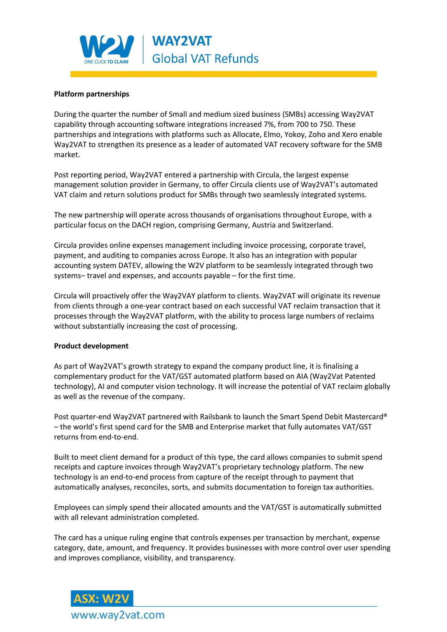

#### **Platform partnerships**

During the quarter the number of Small and medium sized business (SMBs) accessing Way2VAT capability through accounting software integrations increased 7%, from 700 to 750. These partnerships and integrations with platforms such as Allocate, Elmo, Yokoy, Zoho and Xero enable Way2VAT to strengthen its presence as a leader of automated VAT recovery software for the SMB market.

Post reporting period, Way2VAT entered a partnership with Circula, the largest expense management solution provider in Germany, to offer Circula clients use of Way2VAT's automated VAT claim and return solutions product for SMBs through two seamlessly integrated systems.

The new partnership will operate across thousands of organisations throughout Europe, with a particular focus on the DACH region, comprising Germany, Austria and Switzerland.

Circula provides online expenses management including invoice processing, corporate travel, payment, and auditing to companies across Europe. It also has an integration with popular accounting system DATEV, allowing the W2V platform to be seamlessly integrated through two systems– travel and expenses, and accounts payable – for the first time.

Circula will proactively offer the Way2VAY platform to clients. Way2VAT will originate its revenue from clients through a one-year contract based on each successful VAT reclaim transaction that it processes through the Way2VAT platform, with the ability to process large numbers of reclaims without substantially increasing the cost of processing.

#### **Product development**

As part of Way2VAT's growth strategy to expand the company product line, it is finalising a complementary product for the VAT/GST automated platform based on AIA (Way2Vat Patented technology), AI and computer vision technology. It will increase the potential of VAT reclaim globally as well as the revenue of the company.

Post quarter-end Way2VAT partnered with Railsbank to launch the Smart Spend Debit Mastercard® – the world's first spend card for the SMB and Enterprise market that fully automates VAT/GST returns from end-to-end.

Built to meet client demand for a product of this type, the card allows companies to submit spend receipts and capture invoices through Way2VAT's proprietary technology platform. The new technology is an end-to-end process from capture of the receipt through to payment that automatically analyses, reconciles, sorts, and submits documentation to foreign tax authorities.

Employees can simply spend their allocated amounts and the VAT/GST is automatically submitted with all relevant administration completed.

The card has a unique ruling engine that controls expenses per transaction by merchant, expense category, date, amount, and frequency. It provides businesses with more control over user spending and improves compliance, visibility, and transparency.

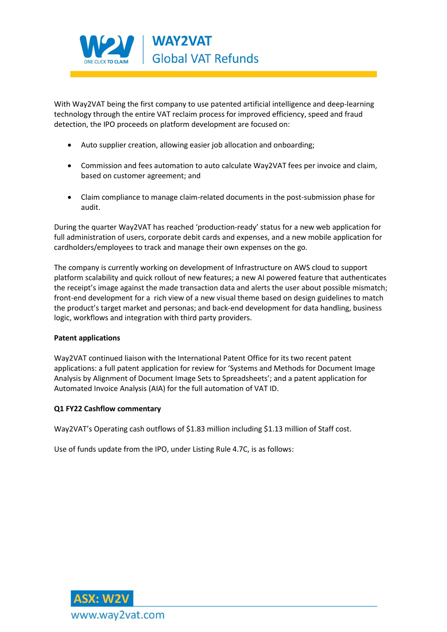

With Way2VAT being the first company to use patented artificial intelligence and deep-learning technology through the entire VAT reclaim process for improved efficiency, speed and fraud detection, the IPO proceeds on platform development are focused on:

- Auto supplier creation, allowing easier job allocation and onboarding;
- Commission and fees automation to auto calculate Way2VAT fees per invoice and claim, based on customer agreement; and
- Claim compliance to manage claim-related documents in the post-submission phase for audit.

During the quarter Way2VAT has reached 'production-ready' status for a new web application for full administration of users, corporate debit cards and expenses, and a new mobile application for cardholders/employees to track and manage their own expenses on the go.

The company is currently working on development of Infrastructure on AWS cloud to support platform scalability and quick rollout of new features; a new AI powered feature that authenticates the receipt's image against the made transaction data and alerts the user about possible mismatch; front-end development for a rich view of a new visual theme based on design guidelines to match the product's target market and personas; and back-end development for data handling, business logic, workflows and integration with third party providers.

#### **Patent applications**

Way2VAT continued liaison with the International Patent Office for its two recent patent applications: a full patent application for review for 'Systems and Methods for Document Image Analysis by Alignment of Document Image Sets to Spreadsheets'; and a patent application for Automated Invoice Analysis (AIA) for the full automation of VAT ID.

#### **Q1 FY22 Cashflow commentary**

Way2VAT's Operating cash outflows of \$1.83 million including \$1.13 million of Staff cost.

Use of funds update from the IPO, under Listing Rule 4.7C, is as follows:

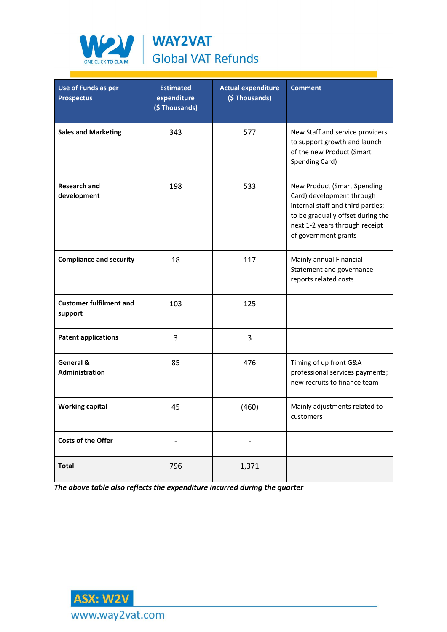

WAY2VAT **Global VAT Refunds** 

| <b>Use of Funds as per</b><br><b>Prospectus</b> | <b>Estimated</b><br>expenditure<br>(\$Thousands) | <b>Actual expenditure</b><br>(\$Thousands) | <b>Comment</b>                                                                                                                                                                               |
|-------------------------------------------------|--------------------------------------------------|--------------------------------------------|----------------------------------------------------------------------------------------------------------------------------------------------------------------------------------------------|
| <b>Sales and Marketing</b>                      | 343                                              | 577                                        | New Staff and service providers<br>to support growth and launch<br>of the new Product (Smart<br>Spending Card)                                                                               |
| <b>Research and</b><br>development              | 198                                              | 533                                        | New Product (Smart Spending<br>Card) development through<br>internal staff and third parties;<br>to be gradually offset during the<br>next 1-2 years through receipt<br>of government grants |
| <b>Compliance and security</b>                  | 18                                               | 117                                        | Mainly annual Financial<br>Statement and governance<br>reports related costs                                                                                                                 |
| <b>Customer fulfilment and</b><br>support       | 103                                              | 125                                        |                                                                                                                                                                                              |
| <b>Patent applications</b>                      | 3                                                | 3                                          |                                                                                                                                                                                              |
| General &<br><b>Administration</b>              | 85                                               | 476                                        | Timing of up front G&A<br>professional services payments;<br>new recruits to finance team                                                                                                    |
| <b>Working capital</b>                          | 45                                               | (460)                                      | Mainly adjustments related to<br>customers                                                                                                                                                   |
| Costs of the Offer                              | $\overline{\phantom{a}}$                         | -                                          |                                                                                                                                                                                              |
| <b>Total</b>                                    | 796                                              | 1,371                                      |                                                                                                                                                                                              |

*The above table also reflects the expenditure incurred during the quarter*

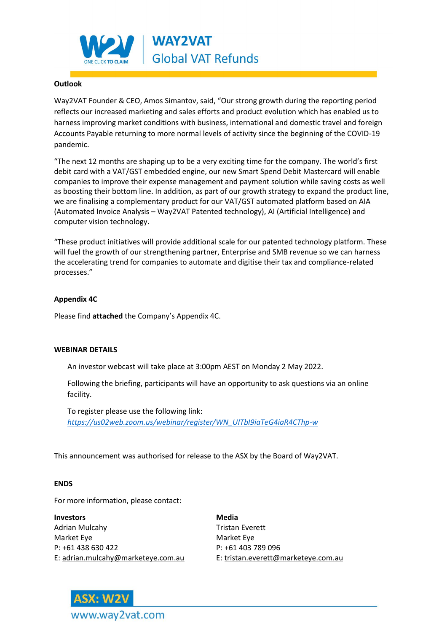

#### **Outlook**

Way2VAT Founder & CEO, Amos Simantov, said, "Our strong growth during the reporting period reflects our increased marketing and sales efforts and product evolution which has enabled us to harness improving market conditions with business, international and domestic travel and foreign Accounts Payable returning to more normal levels of activity since the beginning of the COVID-19 pandemic.

"The next 12 months are shaping up to be a very exciting time for the company. The world's first debit card with a VAT/GST embedded engine, our new Smart Spend Debit Mastercard will enable companies to improve their expense management and payment solution while saving costs as well as boosting their bottom line. In addition, as part of our growth strategy to expand the product line, we are finalising a complementary product for our VAT/GST automated platform based on AIA (Automated Invoice Analysis – Way2VAT Patented technology), AI (Artificial Intelligence) and computer vision technology.

"These product initiatives will provide additional scale for our patented technology platform. These will fuel the growth of our strengthening partner, Enterprise and SMB revenue so we can harness the accelerating trend for companies to automate and digitise their tax and compliance-related processes."

#### **Appendix 4C**

Please find **attached** the Company's Appendix 4C.

#### **WEBINAR DETAILS**

An investor webcast will take place at 3:00pm AEST on Monday 2 May 2022.

Following the briefing, participants will have an opportunity to ask questions via an online facility.

To register please use the following link: *[https://us02web.zoom.us/webinar/register/WN\\_UITbI9iaTeG4iaR4CThp-w](https://us02web.zoom.us/webinar/register/WN_UITbI9iaTeG4iaR4CThp-w)*

This announcement was authorised for release to the ASX by the Board of Way2VAT.

#### **ENDS**

For more information, please contact:

**Investors Media** Adrian Mulcahy **Tristan Everett** Market Eye Market Eye P: +61 438 630 422 P: +61 403 789 096 E: [adrian.mulcahy@marketeye.com.au](mailto:adrian.mulcahy@marketeye.com.au) E: [tristan.everett@marketeye.com.au](mailto:tristan.everett@marketeye.com.au)

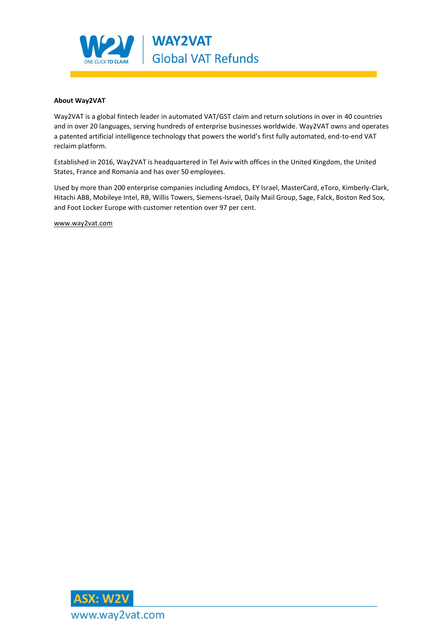

#### **About Way2VAT**

Way2VAT is a global fintech leader in automated VAT/GST claim and return solutions in over in 40 countries and in over 20 languages, serving hundreds of enterprise businesses worldwide. Way2VAT owns and operates a patented artificial intelligence technology that powers the world's first fully automated, end-to-end VAT reclaim platform.

Established in 2016, Way2VAT is headquartered in Tel Aviv with offices in the United Kingdom, the United States, France and Romania and has over 50 employees.

Used by more than 200 enterprise companies including Amdocs, EY Israel, MasterCard, eToro, Kimberly-Clark, Hitachi ABB, Mobileye Intel, RB, Willis Towers, Siemens-Israel, Daily Mail Group, Sage, Falck, Boston Red Sox, and Foot Locker Europe with customer retention over 97 per cent.

[www.way2vat.com](http://www.way2vat.com/)

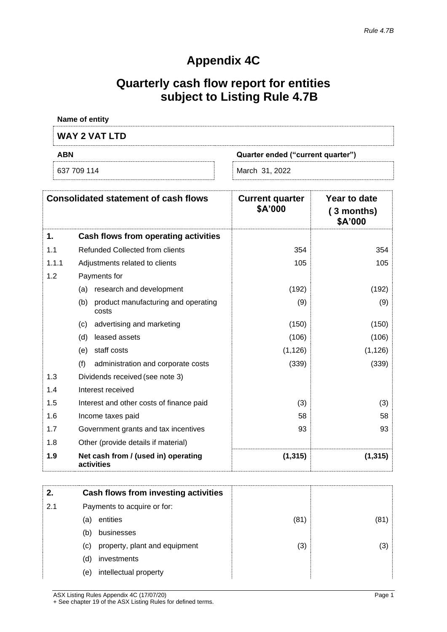# **Appendix 4C**

# **Quarterly cash flow report for entities subject to Listing Rule 4.7B**

| Name of entity                                  |                |  |
|-------------------------------------------------|----------------|--|
| <b>WAY 2 VAT LTD</b>                            |                |  |
| <b>ABN</b><br>Quarter ended ("current quarter") |                |  |
|                                                 | March 31, 2022 |  |

|       | <b>Consolidated statement of cash flows</b>         | <b>Current quarter</b><br>\$A'000 | Year to date<br>(3 months)<br>\$A'000 |
|-------|-----------------------------------------------------|-----------------------------------|---------------------------------------|
| 1.    | Cash flows from operating activities                |                                   |                                       |
| 1.1   | Refunded Collected from clients                     | 354                               | 354                                   |
| 1.1.1 | Adjustments related to clients                      | 105                               | 105                                   |
| 1.2   | Payments for                                        |                                   |                                       |
|       | research and development<br>(a)                     | (192)                             | (192)                                 |
|       | (b)<br>product manufacturing and operating<br>costs | (9)                               | (9)                                   |
|       | advertising and marketing<br>(c)                    | (150)                             | (150)                                 |
|       | leased assets<br>(d)                                | (106)                             | (106)                                 |
|       | staff costs<br>(e)                                  | (1, 126)                          | (1, 126)                              |
|       | (f)<br>administration and corporate costs           | (339)                             | (339)                                 |
| 1.3   | Dividends received (see note 3)                     |                                   |                                       |
| 1.4   | Interest received                                   |                                   |                                       |
| 1.5   | Interest and other costs of finance paid            | (3)                               | (3)                                   |
| 1.6   | Income taxes paid                                   | 58                                | 58                                    |
| 1.7   | Government grants and tax incentives                | 93                                | 93                                    |
| 1.8   | Other (provide details if material)                 |                                   |                                       |
| 1.9   | Net cash from / (used in) operating<br>activities   | (1, 315)                          | (1, 315)                              |

|     | Cash flows from investing activities |      |      |
|-----|--------------------------------------|------|------|
| 2.1 | Payments to acquire or for:          |      |      |
|     | entities<br>(a)                      | (81) | (81) |
|     | businesses<br>(b)                    |      |      |
|     | property, plant and equipment<br>(c) | (3)  | (3)  |
|     | investments<br>(d)                   |      |      |
|     | intellectual property<br>(e)         |      |      |
|     |                                      |      |      |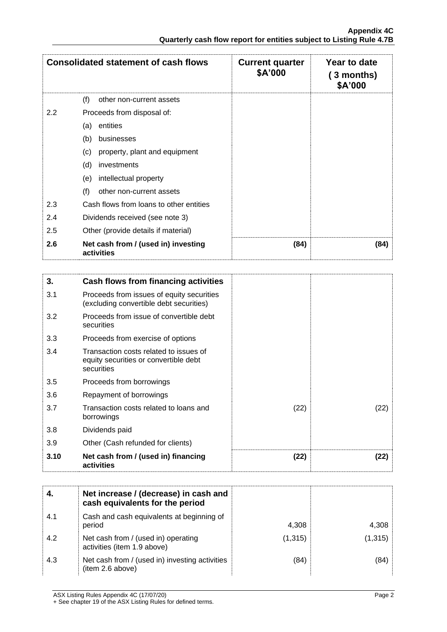|     | <b>Consolidated statement of cash flows</b>       | <b>Current quarter</b><br>\$A'000 | Year to date<br>(3 months)<br>\$A'000 |
|-----|---------------------------------------------------|-----------------------------------|---------------------------------------|
|     | (f)<br>other non-current assets                   |                                   |                                       |
| 2.2 | Proceeds from disposal of:                        |                                   |                                       |
|     | entities<br>(a)                                   |                                   |                                       |
|     | businesses<br>(b)                                 |                                   |                                       |
|     | property, plant and equipment<br>(c)              |                                   |                                       |
|     | (d)<br>investments                                |                                   |                                       |
|     | intellectual property<br>(e)                      |                                   |                                       |
|     | (f)<br>other non-current assets                   |                                   |                                       |
| 2.3 | Cash flows from loans to other entities           |                                   |                                       |
| 2.4 | Dividends received (see note 3)                   |                                   |                                       |
| 2.5 | Other (provide details if material)               |                                   |                                       |
| 2.6 | Net cash from / (used in) investing<br>activities | (84)                              | (84)                                  |

| 3.   | Cash flows from financing activities                                                          |      |      |
|------|-----------------------------------------------------------------------------------------------|------|------|
| 3.1  | Proceeds from issues of equity securities<br>(excluding convertible debt securities)          |      |      |
| 3.2  | Proceeds from issue of convertible debt<br>securities                                         |      |      |
| 3.3  | Proceeds from exercise of options                                                             |      |      |
| 3.4  | Transaction costs related to issues of<br>equity securities or convertible debt<br>securities |      |      |
| 3.5  | Proceeds from borrowings                                                                      |      |      |
| 3.6  | Repayment of borrowings                                                                       |      |      |
| 3.7  | Transaction costs related to loans and<br>borrowings                                          | (22) | (22) |
| 3.8  | Dividends paid                                                                                |      |      |
| 3.9  | Other (Cash refunded for clients)                                                             |      |      |
| 3.10 | Net cash from / (used in) financing<br>activities                                             | (22) | (22) |

|     | Net increase / (decrease) in cash and<br>cash equivalents for the period |          |          |
|-----|--------------------------------------------------------------------------|----------|----------|
| 4.1 | Cash and cash equivalents at beginning of<br>period                      | 4,308    | 4,308    |
| 4.2 | Net cash from / (used in) operating<br>activities (item 1.9 above)       | (1, 315) | (1, 315) |
| 4.3 | Net cash from / (used in) investing activities<br>(item 2.6 above)       | (84)     | (84)     |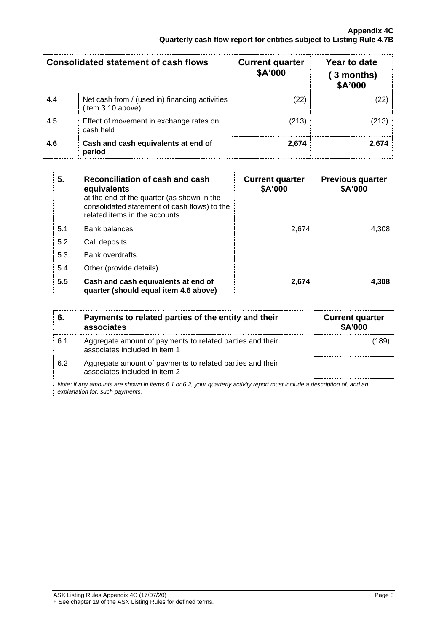|     | <b>Consolidated statement of cash flows</b>                         | <b>Current quarter</b><br>\$A'000 | Year to date<br>3 months)<br>\$A'000 |
|-----|---------------------------------------------------------------------|-----------------------------------|--------------------------------------|
| 4.4 | Net cash from / (used in) financing activities<br>(item 3.10 above) | (22)                              | 22).                                 |
| 4.5 | Effect of movement in exchange rates on<br>cash held                | (213)                             | (213)                                |
| 4.6 | Cash and cash equivalents at end of<br>period                       | 2,674                             | 2.674                                |

| 5.  | Reconciliation of cash and cash<br>equivalents<br>at the end of the quarter (as shown in the<br>consolidated statement of cash flows) to the<br>related items in the accounts | <b>Current quarter</b><br>\$A'000 | <b>Previous quarter</b><br>\$A'000 |
|-----|-------------------------------------------------------------------------------------------------------------------------------------------------------------------------------|-----------------------------------|------------------------------------|
| 5.1 | <b>Bank balances</b>                                                                                                                                                          | 2.674                             | 4.308                              |
| 5.2 | Call deposits                                                                                                                                                                 |                                   |                                    |
| 5.3 | <b>Bank overdrafts</b>                                                                                                                                                        |                                   |                                    |
| 5.4 | Other (provide details)                                                                                                                                                       |                                   |                                    |
| 5.5 | Cash and cash equivalents at end of<br>quarter (should equal item 4.6 above)                                                                                                  | 2,674                             | 4.308                              |

| 6.  | Payments to related parties of the entity and their<br>associates                                                                                           | <b>Current quarter</b><br><b>\$A'000</b> |
|-----|-------------------------------------------------------------------------------------------------------------------------------------------------------------|------------------------------------------|
| 6.1 | Aggregate amount of payments to related parties and their<br>associates included in item 1                                                                  | (189)                                    |
| 6.2 | Aggregate amount of payments to related parties and their<br>associates included in item 2                                                                  |                                          |
|     | Note: if any amounts are shown in items 6.1 or 6.2, your quarterly activity report must include a description of, and an<br>explanation for, such payments. |                                          |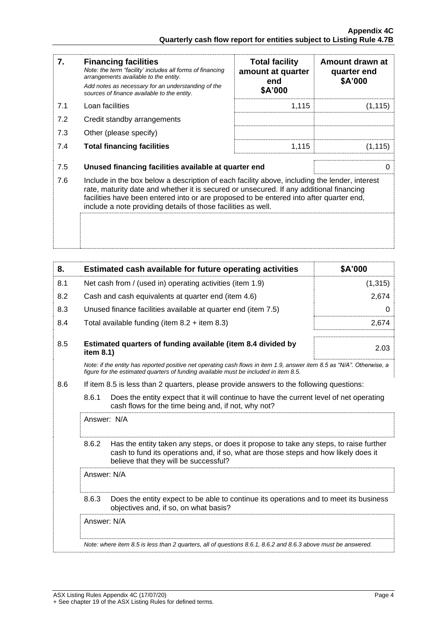| 7.  | <b>Financing facilities</b><br>Note: the term "facility' includes all forms of financing<br>arrangements available to the entity.<br>Add notes as necessary for an understanding of the<br>sources of finance available to the entity.                                                                                                               | <b>Total facility</b><br>amount at quarter<br>end<br>\$A'000 | Amount drawn at<br>quarter end<br>\$A'000 |
|-----|------------------------------------------------------------------------------------------------------------------------------------------------------------------------------------------------------------------------------------------------------------------------------------------------------------------------------------------------------|--------------------------------------------------------------|-------------------------------------------|
| 7.1 | Loan facilities                                                                                                                                                                                                                                                                                                                                      | 1,115                                                        | (1, 115)                                  |
| 7.2 | Credit standby arrangements                                                                                                                                                                                                                                                                                                                          |                                                              |                                           |
| 7.3 | Other (please specify)                                                                                                                                                                                                                                                                                                                               |                                                              |                                           |
| 7.4 | <b>Total financing facilities</b>                                                                                                                                                                                                                                                                                                                    | 1,115                                                        | (1, 115)                                  |
|     |                                                                                                                                                                                                                                                                                                                                                      |                                                              |                                           |
| 7.5 | Unused financing facilities available at quarter end                                                                                                                                                                                                                                                                                                 |                                                              | O                                         |
| 7.6 | Include in the box below a description of each facility above, including the lender, interest<br>rate, maturity date and whether it is secured or unsecured. If any additional financing<br>facilities have been entered into or are proposed to be entered into after quarter end,<br>include a note providing details of those facilities as well. |                                                              |                                           |
|     |                                                                                                                                                                                                                                                                                                                                                      |                                                              |                                           |

| 8.  | Estimated cash available for future operating activities                                                                                                                                                                        | \$A'000  |  |
|-----|---------------------------------------------------------------------------------------------------------------------------------------------------------------------------------------------------------------------------------|----------|--|
| 8.1 | Net cash from / (used in) operating activities (item 1.9)                                                                                                                                                                       | (1, 315) |  |
| 8.2 | Cash and cash equivalents at quarter end (item 4.6)                                                                                                                                                                             | 2,674    |  |
| 8.3 | Unused finance facilities available at quarter end (item 7.5)                                                                                                                                                                   | 0        |  |
| 8.4 | Total available funding (item $8.2 +$ item $8.3$ )                                                                                                                                                                              | 2,674    |  |
| 8.5 | Estimated quarters of funding available (item 8.4 divided by<br>item 8.1)                                                                                                                                                       | 2.03     |  |
|     | Note: if the entity has reported positive net operating cash flows in item 1.9, answer item 8.5 as "N/A". Otherwise, a<br>figure for the estimated quarters of funding available must be included in item 8.5.                  |          |  |
| 8.6 | If item 8.5 is less than 2 quarters, please provide answers to the following questions:                                                                                                                                         |          |  |
|     | 8.6.1<br>Does the entity expect that it will continue to have the current level of net operating<br>cash flows for the time being and, if not, why not?                                                                         |          |  |
|     | Answer: N/A                                                                                                                                                                                                                     |          |  |
|     | 8.6.2<br>Has the entity taken any steps, or does it propose to take any steps, to raise further<br>cash to fund its operations and, if so, what are those steps and how likely does it<br>believe that they will be successful? |          |  |
|     | Answer: N/A                                                                                                                                                                                                                     |          |  |
|     | 8.6.3<br>Does the entity expect to be able to continue its operations and to meet its business<br>objectives and, if so, on what basis?                                                                                         |          |  |
|     | Answer: N/A                                                                                                                                                                                                                     |          |  |
|     | Note: where item 8.5 is less than 2 quarters, all of questions 8.6.1, 8.6.2 and 8.6.3 above must be answered.                                                                                                                   |          |  |
|     |                                                                                                                                                                                                                                 |          |  |